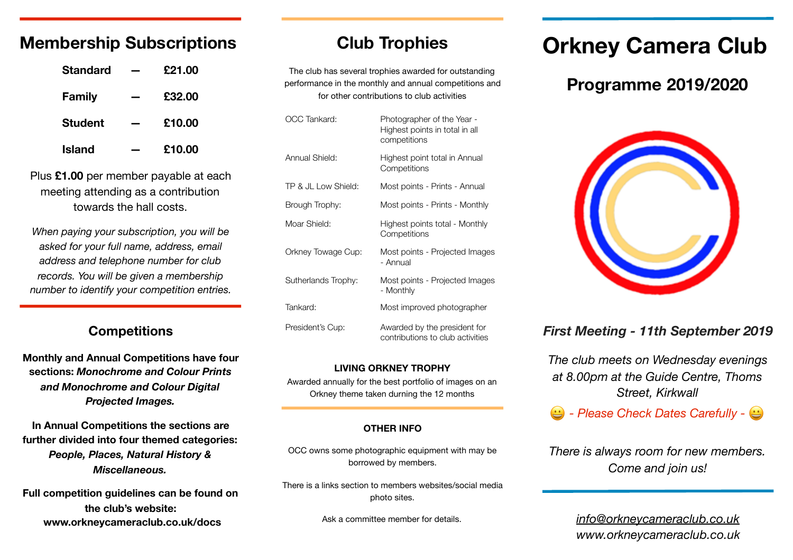# **Membership Subscriptions**

| <b>Standard</b> | £21.00 |
|-----------------|--------|
| <b>Family</b>   | £32.00 |
| <b>Student</b>  | £10.00 |
| Island          | £10.00 |

Plus **£1.00** per member payable at each meeting attending as a contribution towards the hall costs.

*When paying your subscription, you will be asked for your full name, address, email address and telephone number for club records. You will be given a membership number to identify your competition entries.* 

## **Competitions**

**Monthly and Annual Competitions have four sections:** *Monochrome and Colour Prints and Monochrome and Colour Digital Projected Images.*

**In Annual Competitions the sections are further divided into four themed categories:**  *People, Places, Natural History & Miscellaneous.*

**Full competition guidelines can be found on the club's website: www.orkneycameraclub.co.uk/docs**

# **Club Trophies**

The club has several trophies awarded for outstanding performance in the monthly and annual competitions and for other contributions to club activities

| OCC Tankard:        | Photographer of the Year -<br>Highest points in total in all<br>competitions |
|---------------------|------------------------------------------------------------------------------|
| Annual Shield:      | Highest point total in Annual<br>Competitions                                |
| TP & JL Low Shield: | Most points - Prints - Annual                                                |
| Brough Trophy:      | Most points - Prints - Monthly                                               |
| Moar Shield:        | Highest points total - Monthly<br>Competitions                               |
| Orkney Towage Cup:  | Most points - Projected Images<br>- Annual                                   |
| Sutherlands Trophy: | Most points - Projected Images<br>- Monthly                                  |
| Tankard:            | Most improved photographer                                                   |
| President's Cup:    | Awarded by the president for<br>contributions to club activities             |

#### **LIVING ORKNEY TROPHY**

Awarded annually for the best portfolio of images on an Orkney theme taken durning the 12 months

#### **OTHER INFO**

OCC owns some photographic equipment with may be borrowed by members.

There is a links section to members websites/social media photo sites.

Ask a committee member for details.

# **Orkney Camera Club**

# **Programme 2019/2020**



# *First Meeting - 11th September 2019*

*The club meets on Wednesday evenings at 8.00pm at the Guide Centre, Thoms Street, Kirkwall* 

*- Please Check Dates Carefully -*

*There is always room for new members. Come and join us!* 

> *[info@orkneycameraclub.co.uk](mailto:info@orkneycameraclub.co.uk) www.orkneycameraclub.co.uk*